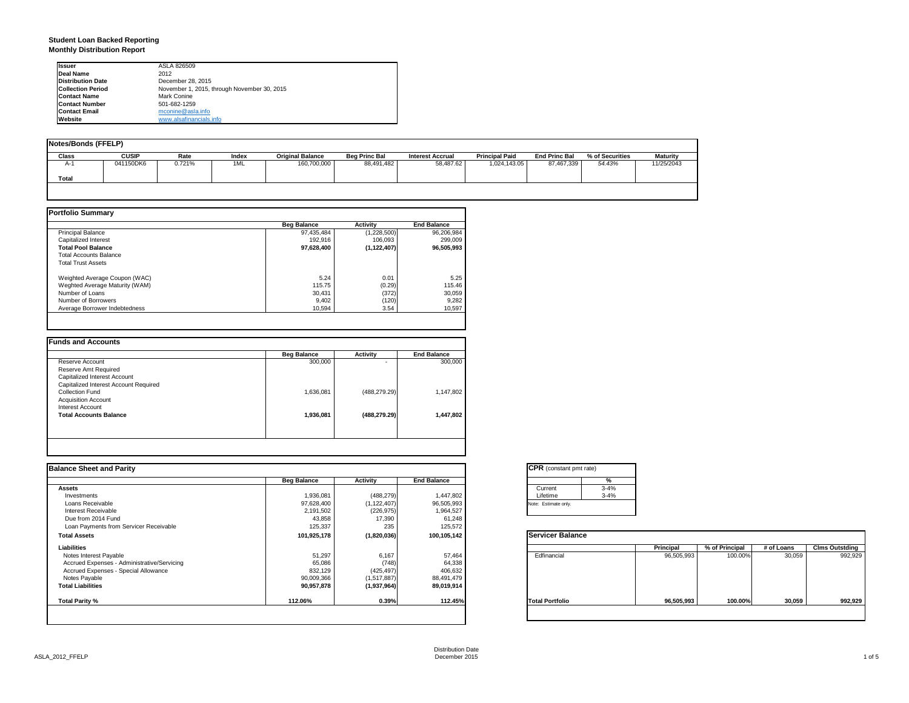### **Student Loan Backed Reporting Monthly Distribution Report**

| <b>Issuer</b>            | ASLA 826509                                 |  |
|--------------------------|---------------------------------------------|--|
| Deal Name                | 2012                                        |  |
| <b>Distribution Date</b> | December 28, 2015                           |  |
| <b>Collection Period</b> | November 1, 2015, through November 30, 2015 |  |
| <b>Contact Name</b>      | Mark Conine                                 |  |
| <b>Contact Number</b>    | 501-682-1259                                |  |
| <b>Contact Email</b>     | mconine@asla.info                           |  |
| Website                  | www.alsafinancials.info                     |  |

| <b>Notes/Bonds (FFELP)</b> |              |        |       |                         |                      |                         |                       |                      |                 |                 |
|----------------------------|--------------|--------|-------|-------------------------|----------------------|-------------------------|-----------------------|----------------------|-----------------|-----------------|
| <b>Class</b>               | <b>CUSIP</b> | Rate   | Index | <b>Original Balance</b> | <b>Beg Princ Bal</b> | <b>Interest Accrual</b> | <b>Principal Paid</b> | <b>End Princ Bal</b> | % of Securities | <b>Maturity</b> |
| $A-1$                      | 041150DK6    | 0.721% | 1ML   | 160,700,000             | 88,491,482           | 58.487.62               | 1,024,143.05          | 87.467.339           | 54.43%          | 11/25/2043      |
| <b>Total</b>               |              |        |       |                         |                      |                         |                       |                      |                 |                 |
|                            |              |        |       |                         |                      |                         |                       |                      |                 |                 |

|                                | <b>Beg Balance</b> | <b>Activity</b> | <b>End Balance</b> |
|--------------------------------|--------------------|-----------------|--------------------|
| <b>Principal Balance</b>       | 97.435.484         | (1,228,500)     | 96,206,984         |
| Capitalized Interest           | 192.916            | 106.093         | 299.009            |
| <b>Total Pool Balance</b>      | 97.628.400         | (1, 122, 407)   | 96.505.993         |
| <b>Total Accounts Balance</b>  |                    |                 |                    |
| <b>Total Trust Assets</b>      |                    |                 |                    |
| Weighted Average Coupon (WAC)  | 5.24               | 0.01            | 5.25               |
| Weghted Average Maturity (WAM) | 115.75             | (0.29)          | 115.46             |
| Number of Loans                | 30.431             | (372)           | 30,059             |
| Number of Borrowers            | 9.402              | (120)           | 9,282              |
| Average Borrower Indebtedness  | 10.594             | 3.54            | 10,597             |

|                                       | <b>Beg Balance</b> | <b>Activity</b> | <b>End Balance</b> |
|---------------------------------------|--------------------|-----------------|--------------------|
| Reserve Account                       | 300,000            |                 | 300,000            |
| Reserve Amt Required                  |                    |                 |                    |
| Capitalized Interest Account          |                    |                 |                    |
| Capitalized Interest Account Required |                    |                 |                    |
| Collection Fund                       | 1.636.081          | (488, 279.29)   | 1,147,802          |
| <b>Acquisition Account</b>            |                    |                 |                    |
| Interest Account                      |                    |                 |                    |
| <b>Total Accounts Balance</b>         | 1.936.081          | (488, 279.29)   | 1,447,802          |
|                                       |                    |                 |                    |
|                                       |                    |                 |                    |
|                                       |                    |                 |                    |

| <b>Balance Sheet and Parity</b>             |                    |               |                    | <b>CPR</b> (constant pmt rate) |            |                |            |                       |
|---------------------------------------------|--------------------|---------------|--------------------|--------------------------------|------------|----------------|------------|-----------------------|
|                                             | <b>Beg Balance</b> | Activity      | <b>End Balance</b> | %                              |            |                |            |                       |
| <b>Assets</b>                               |                    |               |                    | $3 - 4%$<br>Current            |            |                |            |                       |
| Investments                                 | 1,936,081          | (488,279)     | 1,447,802          | Lifetime<br>$3 - 4%$           |            |                |            |                       |
| Loans Receivable                            | 97,628,400         | (1, 122, 407) | 96,505,993         | Note: Estimate only.           |            |                |            |                       |
| Interest Receivable                         | 2,191,502          | (226, 975)    | 1,964,527          |                                |            |                |            |                       |
| Due from 2014 Fund                          | 43,858             | 17,390        | 61,248             |                                |            |                |            |                       |
| Loan Payments from Servicer Receivable      | 125,337            | 235           | 125,572            |                                |            |                |            |                       |
| <b>Total Assets</b>                         | 101,925,178        | (1,820,036)   | 100,105,142        | <b>Servicer Balance</b>        |            |                |            |                       |
| Liabilities                                 |                    |               |                    |                                | Principal  | % of Principal | # of Loans | <b>Clms Outstding</b> |
| Notes Interest Payable                      | 51,297             | 6,167         | 57,464             | Edfinancial                    | 96,505,993 | 100.00%        | 30,059     | 992,929               |
| Accrued Expenses - Administrative/Servicing | 65,086             | (748)         | 64,338             |                                |            |                |            |                       |
| Accrued Expenses - Special Allowance        | 832,129            | (425, 497)    | 406,632            |                                |            |                |            |                       |
| Notes Payable                               | 90,009,366         | (1,517,887)   | 88,491,479         |                                |            |                |            |                       |
| <b>Total Liabilities</b>                    | 90,957,878         | (1,937,964)   | 89,019,914         |                                |            |                |            |                       |
| <b>Total Parity %</b>                       | 112.06%            | 0.39%         | 112.45%            | <b>Total Portfolio</b>         | 96,505,993 | 100.00%        | 30,059     | 992,929               |

|          | %        |
|----------|----------|
| Current  | $3 - 4%$ |
| Lifetime | $3 - 4%$ |

|                        | Principal  | % of Principal | # of Loans | <b>Clms Outstding</b> |
|------------------------|------------|----------------|------------|-----------------------|
| Edfinancial            | 96,505,993 | 100.00%        | 30,059     | 992,929               |
| <b>Total Portfolio</b> | 96,505,993 | 100.00%        | 30,059     | 992,929               |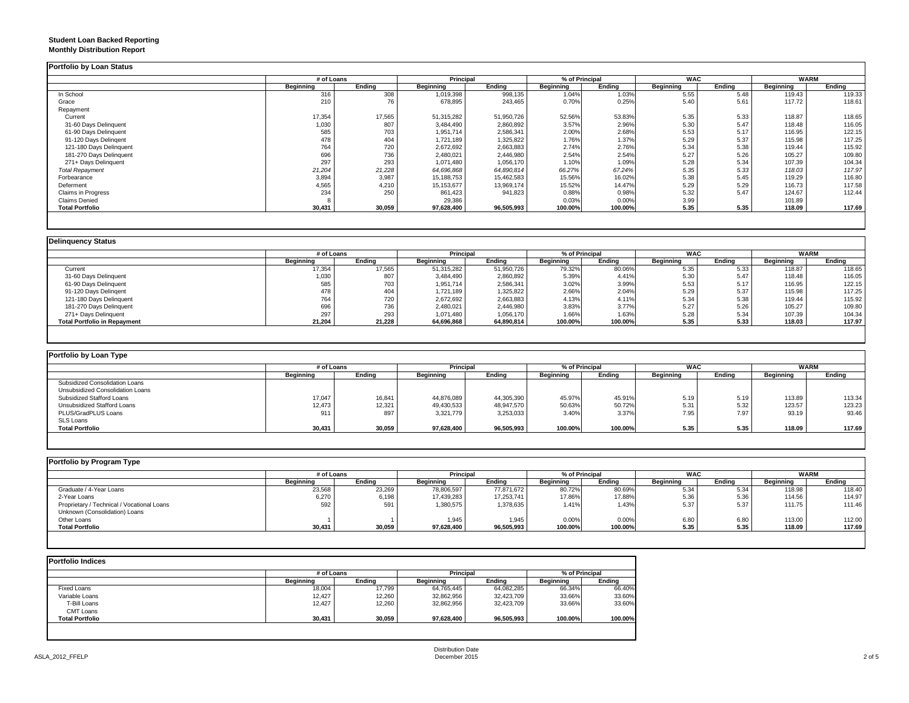### **Student Loan Backed Reporting Monthly Distribution Report**

|                         | # of Loans |        | Principal    |            | % of Principal   |         | <b>WAC</b> |        | <b>WARM</b> |        |
|-------------------------|------------|--------|--------------|------------|------------------|---------|------------|--------|-------------|--------|
|                         | Beginning  | Ending | Beginning    | Ending     | <b>Beginning</b> | Ending  | Beginning  | Ending | Beginning   | Ending |
| In School               | 316        | 308    | 1,019,398    | 998,135    | 1.04%            | 1.03%   | 5.55       | 5.48   | 119.43      | 119.33 |
| Grace                   | 210        | 76     | 678,895      | 243,465    | 0.70%            | 0.25%   | 5.40       | 5.61   | 117.72      | 118.61 |
| Repayment               |            |        |              |            |                  |         |            |        |             |        |
| Current                 | 17,354     | 17,565 | 51,315,282   | 51,950,726 | 52.56%           | 53.83%  | 5.35       | 5.33   | 118.87      | 118.65 |
| 31-60 Days Delinquent   | 1,030      | 807    | 3,484,490    | 2,860,892  | 3.57%            | 2.96%   | 5.30       | 5.47   | 118.48      | 116.05 |
| 61-90 Days Delinquent   | 585        | 703    | 1,951,714    | 2,586,341  | 2.00%            | 2.68%   | 5.53       | 5.17   | 116.95      | 122.15 |
| 91-120 Days Delingent   | 478        | 404    | 1,721,189    | 1,325,822  | 1.76%            | 1.37%   | 5.29       | 5.37   | 115.98      | 117.25 |
| 121-180 Days Delinquent | 764        | 720    | 2,672,692    | 2,663,883  | 2.74%            | 2.76%   | 5.34       | 5.38   | 119.44      | 115.92 |
| 181-270 Days Delinquent | 696        | 736    | 2,480,021    | 2,446,980  | 2.54%            | 2.54%   | 5.27       | 5.26   | 105.27      | 109.80 |
| 271+ Days Delinquent    | 297        | 293    | 1,071,480    | 1,056,170  | 1.10%            | 1.09%   | 5.28       | 5.34   | 107.39      | 104.34 |
| <b>Total Repayment</b>  | 21,204     | 21,228 | 64,696,868   | 64,890,814 | 66.27%           | 67.24%  | 5.35       | 5.33   | 118.03      | 117.97 |
| Forbearance             | 3,894      | 3,987  | 15,188,753   | 15,462,583 | 15.56%           | 16.02%  | 5.38       | 5.45   | 119.29      | 116.80 |
| Deferment               | 4,565      | 4,210  | 15, 153, 677 | 13,969,174 | 15.52%           | 14.47%  | 5.29       | 5.29   | 116.73      | 117.58 |
| Claims in Progress      | 234        | 250    | 861,423      | 941,823    | 0.88%            | 0.98%   | 5.32       | 5.47   | 124.67      | 112.44 |
| <b>Claims Denied</b>    |            |        | 29,386       |            | 0.03%            | 0.00%   | 3.99       |        | 101.89      |        |
| <b>Total Portfolio</b>  | 30,431     | 30,059 | 97,628,400   | 96,505,993 | 100.00%          | 100.00% | 5.35       | 5.35   | 118.09      | 117.69 |

|                                     |           | # of Loans |                  | <b>Principal</b> | % of Principal |         | <b>WAC</b>       |        | <b>WARM</b> |        |
|-------------------------------------|-----------|------------|------------------|------------------|----------------|---------|------------------|--------|-------------|--------|
|                                     | Beainnina | Endina     | <b>Beginning</b> | Ending           | Beginning      | Endina  | <b>Beginning</b> | Endina | Beginning   | Ending |
| Current                             | 17,354    | 17,565     | 51,315,282       | 51,950,726       | 79.32%         | 80.06%  | 5.35             | 5.33   | 118.87      | 118.65 |
| 31-60 Days Delinquent               | 1,030     | 807        | 3,484,490        | 2,860,892        | 5.39%          | 4.41%   | 5.30             | 5.47   | 118.48      | 116.05 |
| 61-90 Days Delinquent               | 585       | 703        | 1,951,714        | 2,586,341        | 3.02%          | 3.99%   | 5.53             | 5.17   | 116.95      | 122.15 |
| 91-120 Days Delingent               | 478       | 404        | 1,721,189        | 1,325,822        | 2.66%          | 2.04%   | 5.29             | 5.37   | 115.98      | 117.25 |
| 121-180 Days Delinquent             | 764       | 720        | 2,672,692        | 2,663,883        | 4.13%          | 4.11%   | 5.34             | 5.38   | 119.44      | 115.92 |
| 181-270 Days Delinquent             | 696       | 736        | 2,480,021        | 2,446,980        | 3.83%          | 3.77%   | 5.27             | 5.26   | 105.27      | 109.80 |
| 271+ Days Delinguent                | 297       | 293        | 1,071,480        | 1,056,170        | 1.66%          | 1.63%   | 5.28             | 5.34   | 107.39      | 104.34 |
| <b>Total Portfolio in Repayment</b> | 21,204    | 21,228     | 64,696,868       | 64,890,814       | 100.00%        | 100.00% | 5.35             | 5.33   | 118.03      | 117.97 |

| Portfolio by Loan Type           |                  |        |                  |            |                  |                |                  |            |           |             |  |
|----------------------------------|------------------|--------|------------------|------------|------------------|----------------|------------------|------------|-----------|-------------|--|
|                                  | # of Loans       |        | <b>Principal</b> |            |                  | % of Principal |                  | <b>WAC</b> |           | <b>WARM</b> |  |
|                                  | <b>Beginning</b> | Ending | Beginning        | Endina     | <b>Beginning</b> | Ending         | <b>Beginning</b> | Ending     | Beginning | Ending      |  |
| Subsidized Consolidation Loans   |                  |        |                  |            |                  |                |                  |            |           |             |  |
| Unsubsidized Consolidation Loans |                  |        |                  |            |                  |                |                  |            |           |             |  |
| Subsidized Stafford Loans        | 17,047           | 16,841 | 44,876,089       | 44,305,390 | 45.97%           | 45.91%         | 5.19             | 5.19       | 113.89    | 113.34      |  |
| Unsubsidized Stafford Loans      | 12,473           | 12,321 | 49,430,533       | 48,947,570 | 50.63%           | 50.72%         | 5.31             | 5.32       | 123.57    | 123.23      |  |
| PLUS/GradPLUS Loans              | 911              | 897    | 3,321,779        | 3,253,033  | 3.40%            | 3.37%          | 7.95             | 7.97       | 93.19     | 93.46       |  |
| SLS Loans                        |                  |        |                  |            |                  |                |                  |            |           |             |  |
| <b>Total Portfolio</b>           | 30,431           | 30,059 | 97,628,400       | 96,505,993 | 100.00%          | 100.00%        | 5.35             | 5.35       | 118.09    | 117.69      |  |

| Portfolio by Program Type                  |            |        |                  |            |                |         |            |        |             |        |
|--------------------------------------------|------------|--------|------------------|------------|----------------|---------|------------|--------|-------------|--------|
|                                            | # of Loans |        | <b>Principal</b> |            | % of Principal |         | <b>WAC</b> |        | <b>WARM</b> |        |
|                                            | Beginning  | Ending | <b>Beginning</b> | Endina     | Beginning      | Endina  | Beginning  | Ending | Beginning   | Ending |
| Graduate / 4-Year Loans                    | 23,568     | 23,269 | 78,806,597       | 77.871.672 | 80.72%         | 80.69%  | 5.34       | 5.34   | 118.98      | 118.40 |
| 2-Year Loans                               | 6,270      | 6,198  | 17,439,283       | 17,253,741 | 17.86%         | 17.88%  | 5.36       | 5.36   | 114.56      | 114.97 |
| Proprietary / Technical / Vocational Loans | 592        | 591    | 1,380,575        | 1,378,635  | 1.41%          | 1.43%   | 5.37       | 5.37   | 111.75      | 111.46 |
| Unknown (Consolidation) Loans              |            |        |                  |            |                |         |            |        |             |        |
| Other Loans                                |            |        | 1,945            | 1.945      | 0.00%          | 0.00%   | 6.80       | 6.80   | 113.00      | 112.00 |
| <b>Total Portfolio</b>                     | 30,431     | 30,059 | 97,628,400       | 96,505,993 | 100.00%        | 100.00% | 5.35       | 5.35   | 118.09      | 117.69 |
|                                            |            |        |                  |            |                |         |            |        |             |        |

| <b>Portfolio Indices</b> |            |        |                  |            |                |         |  |
|--------------------------|------------|--------|------------------|------------|----------------|---------|--|
|                          | # of Loans |        | Principal        |            | % of Principal |         |  |
|                          | Beginning  | Endina | <b>Beginning</b> | Endina     | Beginning      | Endina  |  |
| Fixed Loans              | 18,004     | 17,799 | 64,765,445       | 64,082,285 | 66.34%         | 66.40%  |  |
| Variable Loans           | 12,427     | 12,260 | 32,862,956       | 32,423,709 | 33.66%         | 33.60%  |  |
| T-Bill Loans             | 12,427     | 12,260 | 32,862,956       | 32,423,709 | 33.66%         | 33.60%  |  |
| <b>CMT Loans</b>         |            |        |                  |            |                |         |  |
| <b>Total Portfolio</b>   | 30,431     | 30.059 | 97,628,400       | 96,505,993 | 100.00%        | 100.00% |  |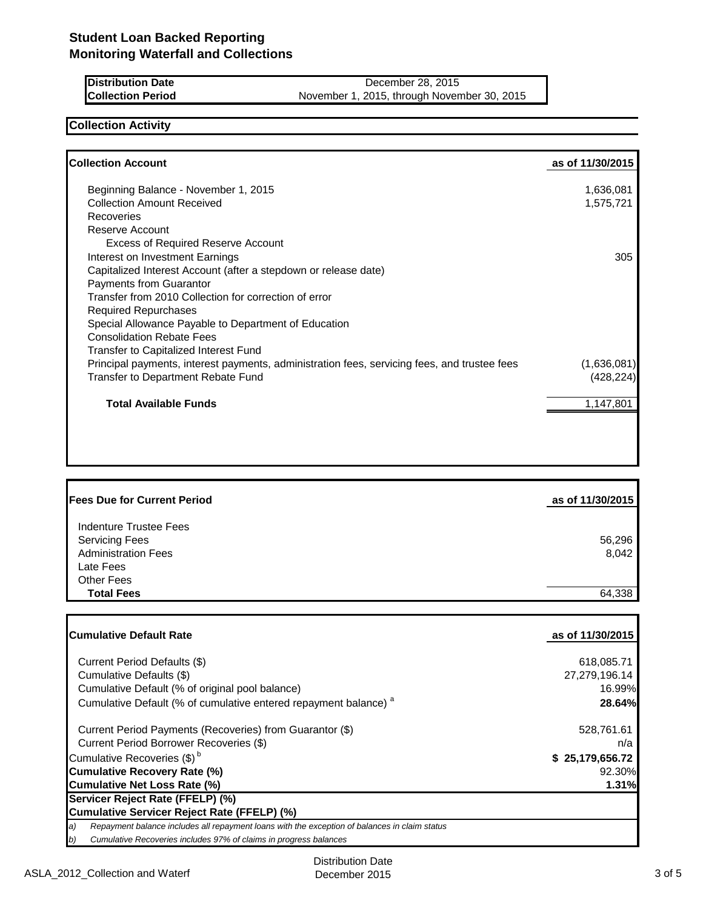| <b>IDistribution Date</b> | December 28, 2015               |
|---------------------------|---------------------------------|
| <b>Collection Period</b>  | November 1, 2015, through Nover |

**November 30, 2015** 

## **Collection Activity**

| <b>Collection Account</b>                                                                    | as of 11/30/2015 |
|----------------------------------------------------------------------------------------------|------------------|
| Beginning Balance - November 1, 2015                                                         | 1,636,081        |
| <b>Collection Amount Received</b>                                                            | 1,575,721        |
| Recoveries                                                                                   |                  |
| Reserve Account                                                                              |                  |
| <b>Excess of Required Reserve Account</b>                                                    |                  |
| Interest on Investment Earnings                                                              | 305              |
| Capitalized Interest Account (after a stepdown or release date)                              |                  |
| Payments from Guarantor                                                                      |                  |
| Transfer from 2010 Collection for correction of error                                        |                  |
| <b>Required Repurchases</b>                                                                  |                  |
| Special Allowance Payable to Department of Education                                         |                  |
| <b>Consolidation Rebate Fees</b>                                                             |                  |
| Transfer to Capitalized Interest Fund                                                        |                  |
| Principal payments, interest payments, administration fees, servicing fees, and trustee fees | (1,636,081)      |
| Transfer to Department Rebate Fund                                                           | (428, 224)       |
| <b>Total Available Funds</b>                                                                 | 1,147,801        |
|                                                                                              |                  |
|                                                                                              |                  |
|                                                                                              |                  |
|                                                                                              |                  |

| <b>Fees Due for Current Period</b> | as of 11/30/2015 |
|------------------------------------|------------------|
| Indenture Trustee Fees             |                  |
|                                    |                  |
| <b>Servicing Fees</b>              | 56,296           |
| <b>Administration Fees</b>         | 8,042            |
| Late Fees                          |                  |
| <b>Other Fees</b>                  |                  |
| <b>Total Fees</b>                  | 64,338           |
|                                    |                  |

| <b>ICumulative Default Rate</b>                                                                     | as of 11/30/2015 |
|-----------------------------------------------------------------------------------------------------|------------------|
| Current Period Defaults (\$)                                                                        | 618,085.71       |
| Cumulative Defaults (\$)                                                                            | 27,279,196.14    |
| Cumulative Default (% of original pool balance)                                                     | 16.99%           |
| Cumulative Default (% of cumulative entered repayment balance) <sup>a</sup>                         | 28.64%           |
| Current Period Payments (Recoveries) from Guarantor (\$)                                            | 528,761.61       |
| Current Period Borrower Recoveries (\$)                                                             | n/a              |
| Cumulative Recoveries (\$) <sup>b</sup>                                                             | \$25,179,656.72  |
| Cumulative Recovery Rate (%)                                                                        | 92.30%           |
| Cumulative Net Loss Rate (%)                                                                        | 1.31%            |
| Servicer Reject Rate (FFELP) (%)                                                                    |                  |
| Cumulative Servicer Reject Rate (FFELP) (%)                                                         |                  |
| a)<br>Repayment balance includes all repayment loans with the exception of balances in claim status |                  |
| b)<br>Cumulative Recoveries includes 97% of claims in progress balances                             |                  |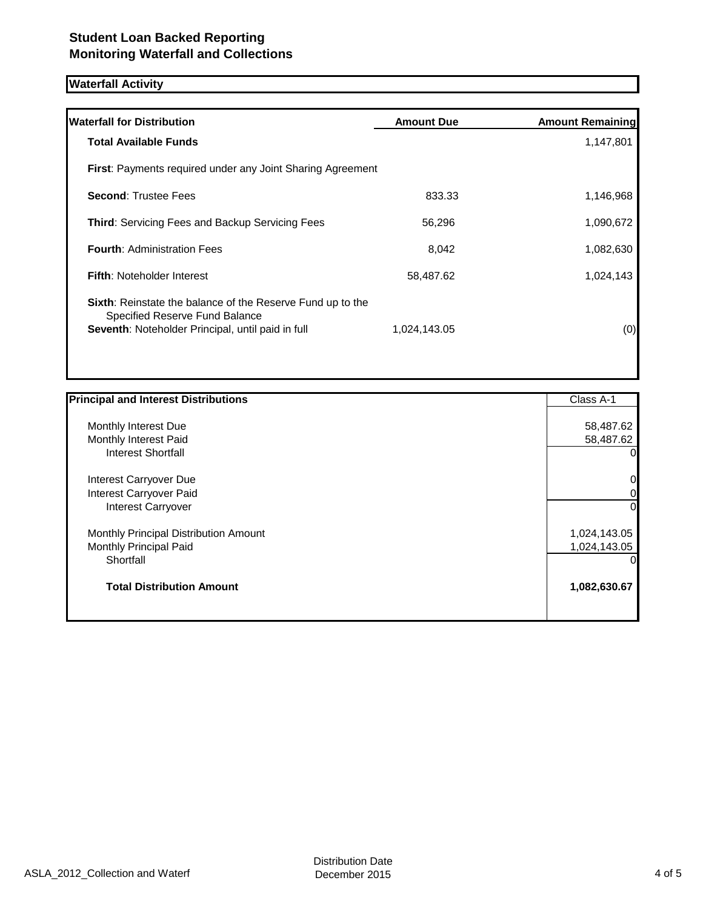# **Waterfall Activity**

| <b>Waterfall for Distribution</b>                                                                                                                        | <b>Amount Due</b> | <b>Amount Remaining</b> |
|----------------------------------------------------------------------------------------------------------------------------------------------------------|-------------------|-------------------------|
| <b>Total Available Funds</b>                                                                                                                             |                   | 1,147,801               |
| <b>First:</b> Payments required under any Joint Sharing Agreement                                                                                        |                   |                         |
| <b>Second: Trustee Fees</b>                                                                                                                              | 833.33            | 1,146,968               |
| <b>Third: Servicing Fees and Backup Servicing Fees</b>                                                                                                   | 56.296            | 1,090,672               |
| <b>Fourth: Administration Fees</b>                                                                                                                       | 8.042             | 1,082,630               |
| <b>Fifth: Noteholder Interest</b>                                                                                                                        | 58,487.62         | 1,024,143               |
| <b>Sixth:</b> Reinstate the balance of the Reserve Fund up to the<br>Specified Reserve Fund Balance<br>Seventh: Noteholder Principal, until paid in full | 1,024,143.05      | (0)                     |

| <b>Principal and Interest Distributions</b> | Class A-1    |
|---------------------------------------------|--------------|
|                                             |              |
| Monthly Interest Due                        | 58,487.62    |
| Monthly Interest Paid                       | 58,487.62    |
| Interest Shortfall                          |              |
| Interest Carryover Due                      | 0            |
| Interest Carryover Paid                     | 0            |
| <b>Interest Carryover</b>                   | 0            |
| Monthly Principal Distribution Amount       | 1,024,143.05 |
| Monthly Principal Paid                      | 1,024,143.05 |
| Shortfall                                   |              |
| <b>Total Distribution Amount</b>            | 1,082,630.67 |
|                                             |              |